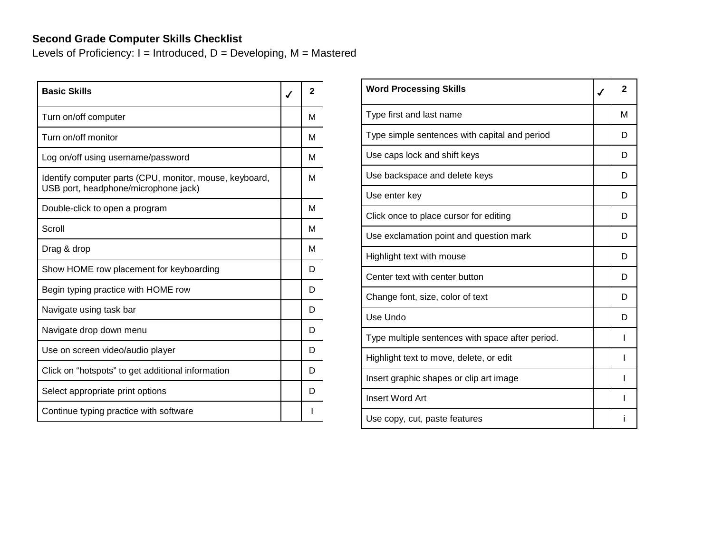## **Second Grade Computer Skills Checklist**

Levels of Proficiency:  $I = Introduced$ ,  $D = Development$ ,  $M = Mastered$ 

| <b>Basic Skills</b>                                                                             | $\mathbf{2}$ |
|-------------------------------------------------------------------------------------------------|--------------|
| Turn on/off computer                                                                            | м            |
| Turn on/off monitor                                                                             | М            |
| Log on/off using username/password                                                              | М            |
| Identify computer parts (CPU, monitor, mouse, keyboard,<br>USB port, headphone/microphone jack) | м            |
| Double-click to open a program                                                                  | М            |
| Scroll                                                                                          | М            |
| Drag & drop                                                                                     | М            |
| Show HOME row placement for keyboarding                                                         | D            |
| Begin typing practice with HOME row                                                             | D            |
| Navigate using task bar                                                                         | D            |
| Navigate drop down menu                                                                         | D            |
| Use on screen video/audio player                                                                | D            |
| Click on "hotspots" to get additional information                                               | D            |
| Select appropriate print options                                                                | D            |
| Continue typing practice with software                                                          |              |

| <b>Word Processing Skills</b>                    | $\mathbf{2}$ |
|--------------------------------------------------|--------------|
| Type first and last name                         | М            |
| Type simple sentences with capital and period    | D            |
| Use caps lock and shift keys                     | D            |
| Use backspace and delete keys                    | D            |
| Use enter key                                    | D            |
| Click once to place cursor for editing           | D            |
| Use exclamation point and question mark          | D            |
| Highlight text with mouse                        | D            |
| Center text with center button                   | D            |
| Change font, size, color of text                 | D            |
| Use Undo                                         | D            |
| Type multiple sentences with space after period. | ı            |
| Highlight text to move, delete, or edit          |              |
| Insert graphic shapes or clip art image          |              |
| Insert Word Art                                  | ı            |
| Use copy, cut, paste features                    |              |